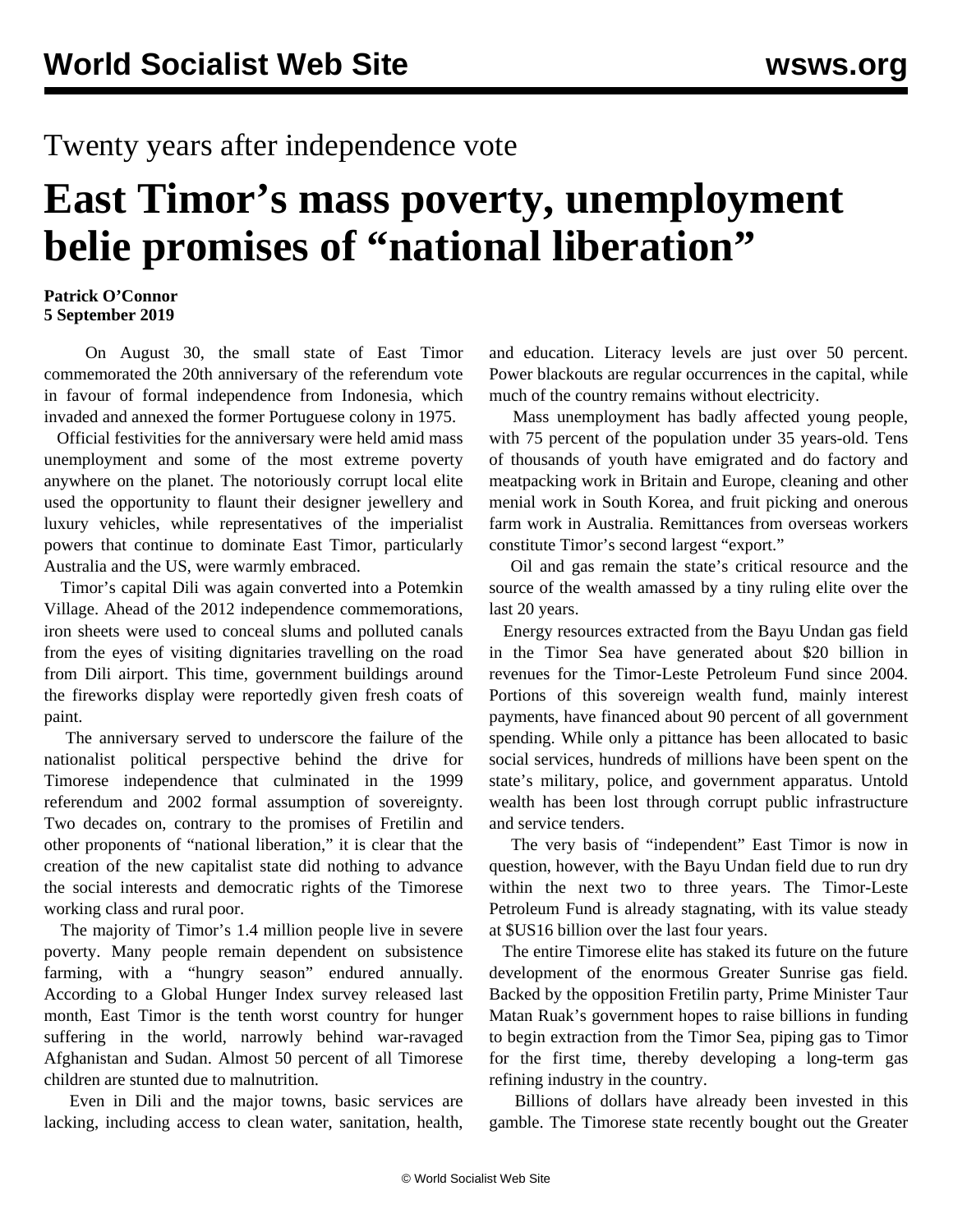## Twenty years after independence vote

# **East Timor's mass poverty, unemployment belie promises of "national liberation"**

#### **Patrick O'Connor 5 September 2019**

 On August 30, the small state of East Timor commemorated the 20th anniversary of the referendum vote in favour of formal independence from Indonesia, which invaded and annexed the former Portuguese colony in 1975.

 Official festivities for the anniversary were held amid mass unemployment and some of the most extreme poverty anywhere on the planet. The notoriously corrupt local elite used the opportunity to flaunt their designer jewellery and luxury vehicles, while representatives of the imperialist powers that continue to dominate East Timor, particularly Australia and the US, were warmly embraced.

 Timor's capital Dili was again converted into a Potemkin Village. Ahead of the 2012 independence commemorations, iron sheets were used to conceal slums and polluted canals from the eyes of visiting dignitaries travelling on the road from Dili airport. This time, government buildings around the fireworks display were reportedly given fresh coats of paint.

 The anniversary served to underscore the failure of the nationalist political perspective behind the drive for Timorese independence that culminated in the 1999 referendum and 2002 formal assumption of sovereignty. Two decades on, contrary to the promises of Fretilin and other proponents of "national liberation," it is clear that the creation of the new capitalist state did nothing to advance the social interests and democratic rights of the Timorese working class and rural poor.

 The majority of Timor's 1.4 million people live in severe poverty. Many people remain dependent on subsistence farming, with a "hungry season" endured annually. According to a Global Hunger Index survey released last month, East Timor is the tenth worst country for hunger suffering in the world, narrowly behind war-ravaged Afghanistan and Sudan. Almost 50 percent of all Timorese children are stunted due to malnutrition.

 Even in Dili and the major towns, basic services are lacking, including access to clean water, sanitation, health, and education. Literacy levels are just over 50 percent. Power blackouts are regular occurrences in the capital, while much of the country remains without electricity.

 Mass unemployment has badly affected young people, with 75 percent of the population under 35 years-old. Tens of thousands of youth have emigrated and do factory and meatpacking work in Britain and Europe, cleaning and other menial work in South Korea, and fruit picking and onerous farm work in Australia. Remittances from overseas workers constitute Timor's second largest "export."

 Oil and gas remain the state's critical resource and the source of the wealth amassed by a tiny ruling elite over the last 20 years.

 Energy resources extracted from the Bayu Undan gas field in the Timor Sea have generated about \$20 billion in revenues for the Timor-Leste Petroleum Fund since 2004. Portions of this sovereign wealth fund, mainly interest payments, have financed about 90 percent of all government spending. While only a pittance has been allocated to basic social services, hundreds of millions have been spent on the state's military, police, and government apparatus. Untold wealth has been lost through corrupt public infrastructure and service tenders.

 The very basis of "independent" East Timor is now in question, however, with the Bayu Undan field due to run dry within the next two to three years. The Timor-Leste Petroleum Fund is already stagnating, with its value steady at \$US16 billion over the last four years.

 The entire Timorese elite has staked its future on the future development of the enormous Greater Sunrise gas field. Backed by the opposition Fretilin party, Prime Minister Taur Matan Ruak's government hopes to raise billions in funding to begin extraction from the Timor Sea, piping gas to Timor for the first time, thereby developing a long-term gas refining industry in the country.

 Billions of dollars have already been invested in this gamble. The Timorese state recently bought out the Greater